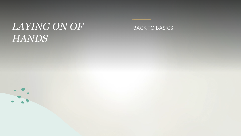# *LAYING ON OF HANDS*

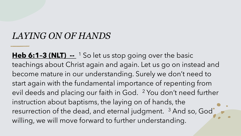#### *LAYING ON OF HANDS*

**Heb 6:1-3 (NLT) --** <sup>1</sup> So let us stop going over the basic teachings about Christ again and again. Let us go on instead and become mature in our understanding. Surely we don't need to start again with the fundamental importance of repenting from evil deeds and placing our faith in God. 2 You don't need further instruction about baptisms, the laying on of hands, the resurrection of the dead, and eternal judgment. <sup>3</sup> And so, God willing, we will move forward to further understanding.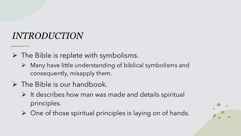### *INTRODUCTION*

- $\triangleright$  The Bible is replete with symbolisms.
	- $\triangleright$  Many have little understanding of biblical symbolisms and consequently, misapply them.
- $\triangleright$  The Bible is our handbook.
	- $\triangleright$  It describes how man was made and details spiritual principles.
	- $\triangleright$  One of those spiritual principles is laying on of hands.

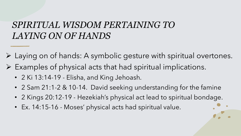#### *SPIRITUAL WISDOM PERTAINING TO LAYING ON OF HANDS*

- Ø Laying on of hands: A symbolic gesture with spiritual overtones.
- $\triangleright$  Examples of physical acts that had spiritual implications.
	- 2 Ki 13:14-19 Elisha, and King Jehoash.
	- 2 Sam 21:1-2 & 10-14. David seeking understanding for the famine
	- 2 Kings 20:12-19 Hezekiah's physical act lead to spiritual bondage.
	- Ex. 14:15-16 Moses' physical acts had spiritual value.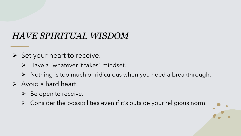## *HAVE SPIRITUAL WISDOM*

- $\triangleright$  Set your heart to receive.
	- $\triangleright$  Have a "whatever it takes" mindset.
	- $\triangleright$  Nothing is too much or ridiculous when you need a breakthrough.
- $\triangleright$  Avoid a hard heart.
	- $\triangleright$  Be open to receive.
	- $\triangleright$  Consider the possibilities even if it's outside your religious norm.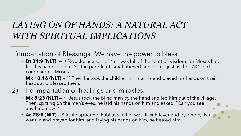#### *LAYING ON OF HANDS: A NATURAL ACT WITH SPIRITUAL IMPLICATIONS*

1) Impartation of Blessings. We have the power to bless.

- **Dt 34:9 (NLT) --** <sup>9</sup> Now Joshua son of Nun was full of the spirit of wisdom, for Moses had laid his hands on him. So the people of Israel obeyed him, doing just as the LORD had commanded Moses.
- **Mk 10:16 (NLT) --** <sup>16</sup> Then he took the children in his arms and placed his hands on their heads and blessed them.
- 2) The impartation of healings and miracles.
	- **Mk 8:23 (NLT) --** <sup>23</sup> Jesus took the blind man by the hand and led him out of the village. Then, spitting on the man's eyes, he laid his hands on him and asked, "Can you see anything now?"
	- **Ac 28:8 (NLT) --** <sup>8</sup> As it happened, Publius's father was ill with fever and dysentery. Paul went in and prayed for him, and laying his hands on him, he healed him.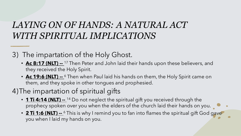### *LAYING ON OF HANDS: A NATURAL ACT WITH SPIRITUAL IMPLICATIONS*

3) The impartation of the Holy Ghost.

- **Ac 8:17 (NLT) --** <sup>17</sup> Then Peter and John laid their hands upon these believers, and they received the Holy Spirit.
- **Ac 19:6 (NLT) --** <sup>6</sup> Then when Paul laid his hands on them, the Holy Spirit came on them, and they spoke in other tongues and prophesied.

#### 4)The impartation of spiritual gifts

- **1 Ti 4:14 (NLT) --** <sup>14</sup> Do not neglect the spiritual gift you received through the prophecy spoken over you when the elders of the church laid their hands on you.
- **2 Ti 1:6 (NLT) --** <sup>6</sup> This is why I remind you to fan into flames the spiritual gift God gave you when I laid my hands on you.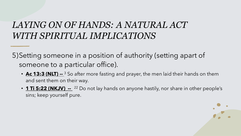#### *LAYING ON OF HANDS: A NATURAL ACT WITH SPIRITUAL IMPLICATIONS*

5)Setting someone in a position of authority (setting apart of someone to a particular office).

- **Ac 13:3 (NLT) --** <sup>3</sup> So after more fasting and prayer, the men laid their hands on them and sent them on their way.
- **1 Ti 5:22 (NKJV) --** <sup>22</sup> Do not lay hands on anyone hastily, nor share in other people's sins; keep yourself pure.